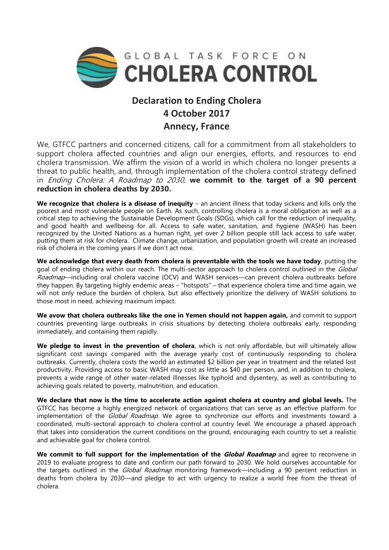

## **Declaration to Ending Cholera 4 October 2017 Annecy, France**

We, GTFCC partners and concerned citizens, call for a commitment from all stakeholders to support cholera affected countries and align our energies, efforts, and resources to end cholera transmission. We affirm the vision of a world in which cholera no longer presents a threat to public health, and, through implementation of the cholera control strategy defined in Ending Cholera: A Roadmap to 2030, **we commit to the target of a 90 percent reduction in cholera deaths by 2030.** 

**We recognize that cholera is a disease of inequity** – an ancient illness that today sickens and kills only the poorest and most vulnerable people on Earth. As such, controlling cholera is a moral obligation as well as a critical step to achieving the Sustainable Development Goals (SDGs), which call for the reduction of inequality, and good health and wellbeing for all. Access to safe water, sanitation, and hygiene (WASH) has been recognized by the United Nations as a human right, yet over 2 billion people still lack access to safe water, putting them at risk for cholera. Climate change, urbanization, and population growth will create an increased risk of cholera in the coming years if we don't act now.

**We acknowledge that every death from cholera is preventable with the tools we have today**, putting the goal of ending cholera within our reach. The multi-sector approach to cholera control outlined in the Global Roadmap—including oral cholera vaccine (OCV) and WASH services—can prevent cholera outbreaks before they happen. By targeting highly endemic areas – "hotspots" – that experience cholera time and time again, we will not only reduce the burden of cholera, but also effectively prioritize the delivery of WASH solutions to those most in need, achieving maximum impact.

**We avow that cholera outbreaks like the one in Yemen should not happen again,** and commit to support countries preventing large outbreaks in crisis situations by detecting cholera outbreaks early, responding immediately, and containing them rapidly.

**We pledge to invest in the prevention of cholera**, which is not only affordable, but will ultimately allow significant cost savings compared with the average yearly cost of continuously responding to cholera outbreaks. Currently, cholera costs the world an estimated \$2 billion per year in treatment and the related lost productivity. Providing access to basic WASH may cost as little as \$40 per person, and, in addition to cholera, prevents a wide range of other water-related illnesses like typhoid and dysentery, as well as contributing to achieving goals related to poverty, malnutrition, and education.

**We declare that now is the time to accelerate action against cholera at country and global levels.** The GTFCC has become a highly energized network of organizations that can serve as an effective platform for implementation of the *Global Roadmap*. We agree to synchronize our efforts and investments toward a coordinated, multi-sectoral approach to cholera control at country level. We encourage a phased approach that takes into consideration the current conditions on the ground, encouraging each country to set a realistic and achievable goal for cholera control.

**We commit to full support for the implementation of the** *Global Roadmap* **and agree to reconvene in** 2019 to evaluate progress to date and confirm our path forward to 2030. We hold ourselves accountable for the targets outlined in the *Global Roadmap* monitoring framework—including a 90 percent reduction in deaths from cholera by 2030—and pledge to act with urgency to realize a world free from the threat of cholera.